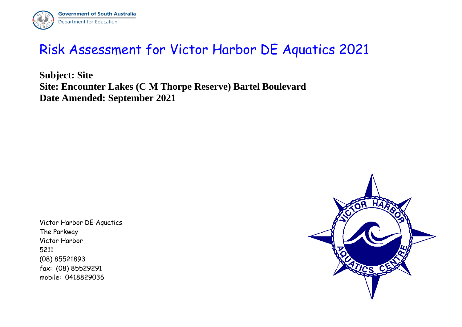

## Risk Assessment for Victor Harbor DE Aquatics 2021

**Subject: Site Site: Encounter Lakes (C M Thorpe Reserve) Bartel Boulevard Date Amended: September 2021**

Victor Harbor DE Aquatics The Parkway Victor Harbor 5211 (08) 85521893 fax: (08) 85529291 mobile: 0418829036

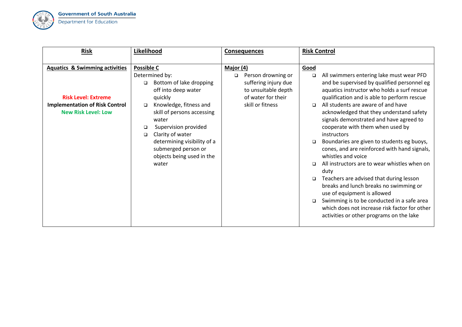

| <b>Risk</b>                                                                                                                                    | Likelihood                                                                                                                                                                                                                                                                                                                              | <b>Consequences</b>                                                                                                                | <b>Risk Control</b>                                                                                                                                                                                                                                                                                                                                                                                                                                                                                                                                                                                                                                                                                                                                                                                                  |
|------------------------------------------------------------------------------------------------------------------------------------------------|-----------------------------------------------------------------------------------------------------------------------------------------------------------------------------------------------------------------------------------------------------------------------------------------------------------------------------------------|------------------------------------------------------------------------------------------------------------------------------------|----------------------------------------------------------------------------------------------------------------------------------------------------------------------------------------------------------------------------------------------------------------------------------------------------------------------------------------------------------------------------------------------------------------------------------------------------------------------------------------------------------------------------------------------------------------------------------------------------------------------------------------------------------------------------------------------------------------------------------------------------------------------------------------------------------------------|
| <b>Aquatics &amp; Swimming activities</b><br><b>Risk Level: Extreme</b><br><b>Implementation of Risk Control</b><br><b>New Risk Level: Low</b> | <b>Possible C</b><br>Determined by:<br>Bottom of lake dropping<br>$\Box$<br>off into deep water<br>quickly<br>Knowledge, fitness and<br>$\Box$<br>skill of persons accessing<br>water<br>Supervision provided<br>□<br>Clarity of water<br>□<br>determining visibility of a<br>submerged person or<br>objects being used in the<br>water | Major (4)<br>Person drowning or<br>$\Box$<br>suffering injury due<br>to unsuitable depth<br>of water for their<br>skill or fitness | Good<br>All swimmers entering lake must wear PFD<br>$\Box$<br>and be supervised by qualified personnel eg<br>aquatics instructor who holds a surf rescue<br>qualification and is able to perform rescue<br>All students are aware of and have<br>$\Box$<br>acknowledged that they understand safety<br>signals demonstrated and have agreed to<br>cooperate with them when used by<br>instructors<br>Boundaries are given to students eg buoys,<br>$\Box$<br>cones, and are reinforced with hand signals,<br>whistles and voice<br>All instructors are to wear whistles when on<br>duty<br>Teachers are advised that during lesson<br>$\Box$<br>breaks and lunch breaks no swimming or<br>use of equipment is allowed<br>Swimming is to be conducted in a safe area<br>which does not increase risk factor for other |
|                                                                                                                                                |                                                                                                                                                                                                                                                                                                                                         |                                                                                                                                    | activities or other programs on the lake                                                                                                                                                                                                                                                                                                                                                                                                                                                                                                                                                                                                                                                                                                                                                                             |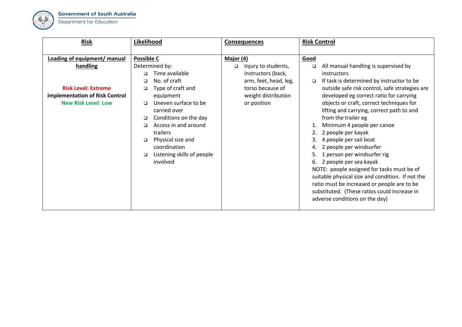

| Loading of equipment/ manual<br><b>Possible C</b><br>Major (4)<br>Good<br>handling<br>Determined by:<br>All manual handling is supervised by<br>Injury to students,<br>$\Box$<br>$\Box$<br>Time available<br>instructors (back,<br>instructors<br>$\Box$<br>No. of craft<br>arm, feet, head, leg,<br>If task is determined by instructor to be<br>$\Box$<br>$\Box$<br><b>Risk Level: Extreme</b><br>Type of craft and<br>torso because of<br>outside safe risk control, safe strategies are<br>□<br>developed eg correct ratio for carrying<br><b>Implementation of Risk Control</b><br>weight distribution<br>equipment<br><b>New Risk Level: Low</b><br>Uneven surface to be<br>objects or craft, correct techniques for<br>or position<br>$\Box$<br>lifting and carrying, correct path to and<br>carried over<br>Conditions on the day<br>from the trailer eg<br>$\Box$<br>Access in and around<br>Minimum 4 people per canoe<br>1.<br>□<br>trailers<br>2 people per kayak<br>□ | <b>Risk</b> | Likelihood        | <b>Consequences</b> | <b>Risk Control</b>    |
|------------------------------------------------------------------------------------------------------------------------------------------------------------------------------------------------------------------------------------------------------------------------------------------------------------------------------------------------------------------------------------------------------------------------------------------------------------------------------------------------------------------------------------------------------------------------------------------------------------------------------------------------------------------------------------------------------------------------------------------------------------------------------------------------------------------------------------------------------------------------------------------------------------------------------------------------------------------------------------|-------------|-------------------|---------------------|------------------------|
| coordination<br>2 people per windsurfer<br>Listening skills of people<br>1 person per windsurfer rig<br>$\Box$<br>involved<br>2 people per sea kayak<br>6.<br>NOTE: people assigned for tasks must be of<br>suitable physical size and condition. If not the<br>ratio must be increased or people are to be<br>substituted. (These ratios could increase in<br>adverse conditions on the day)                                                                                                                                                                                                                                                                                                                                                                                                                                                                                                                                                                                      |             | Physical size and |                     | 4 people per sail boat |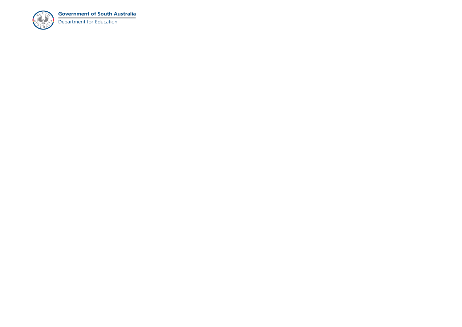

**Government of South Australia** Department for Education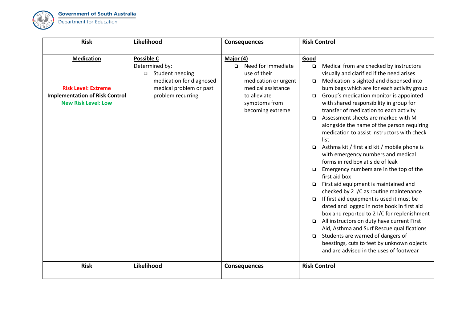

| <b>Risk</b>                                                                                                            | Likelihood                                                                                                                           | <b>Consequences</b>                                                                                                                      | <b>Risk Control</b>                                                                                                                                                                                                                                                                                                                                                                                                                                                                                                                                                                                                                                                                                                                                                                                                                                                                                     |
|------------------------------------------------------------------------------------------------------------------------|--------------------------------------------------------------------------------------------------------------------------------------|------------------------------------------------------------------------------------------------------------------------------------------|---------------------------------------------------------------------------------------------------------------------------------------------------------------------------------------------------------------------------------------------------------------------------------------------------------------------------------------------------------------------------------------------------------------------------------------------------------------------------------------------------------------------------------------------------------------------------------------------------------------------------------------------------------------------------------------------------------------------------------------------------------------------------------------------------------------------------------------------------------------------------------------------------------|
|                                                                                                                        |                                                                                                                                      |                                                                                                                                          |                                                                                                                                                                                                                                                                                                                                                                                                                                                                                                                                                                                                                                                                                                                                                                                                                                                                                                         |
| <b>Medication</b><br><b>Risk Level: Extreme</b><br><b>Implementation of Risk Control</b><br><b>New Risk Level: Low</b> | <b>Possible C</b><br>Determined by:<br>□ Student needing<br>medication for diagnosed<br>medical problem or past<br>problem recurring | Major (4)<br>Need for immediate<br>$\Box$<br>use of their<br>medication or urgent<br>medical assistance<br>to alleviate<br>symptoms from | Good<br>Medical from are checked by instructors<br>$\Box$<br>visually and clarified if the need arises<br>Medication is sighted and dispensed into<br>$\Box$<br>bum bags which are for each activity group<br>Group's medication monitor is appointed<br>$\Box$<br>with shared responsibility in group for                                                                                                                                                                                                                                                                                                                                                                                                                                                                                                                                                                                              |
|                                                                                                                        |                                                                                                                                      | becoming extreme                                                                                                                         | transfer of medication to each activity<br>Assessment sheets are marked with M<br>$\Box$<br>alongside the name of the person requiring<br>medication to assist instructors with check<br>list<br>Asthma kit / first aid kit / mobile phone is<br>$\Box$<br>with emergency numbers and medical<br>forms in red box at side of leak<br>Emergency numbers are in the top of the<br>$\Box$<br>first aid box<br>First aid equipment is maintained and<br>$\Box$<br>checked by 2 I/C as routine maintenance<br>If first aid equipment is used it must be<br>$\Box$<br>dated and logged in note book in first aid<br>box and reported to 2 I/C for replenishment<br>All instructors on duty have current First<br>$\Box$<br>Aid, Asthma and Surf Rescue qualifications<br>Students are warned of dangers of<br>$\Box$<br>beestings, cuts to feet by unknown objects<br>and are advised in the uses of footwear |
| <b>Risk</b>                                                                                                            | Likelihood                                                                                                                           | <b>Consequences</b>                                                                                                                      | <b>Risk Control</b>                                                                                                                                                                                                                                                                                                                                                                                                                                                                                                                                                                                                                                                                                                                                                                                                                                                                                     |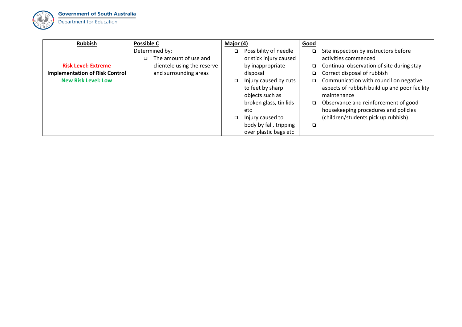

| <b>Rubbish</b>                                                                                    | <b>Possible C</b>                                                                                         | Major (4)                                                                                                                                                                                                                                           | Good |                                                                                                                                                                                                                                                                                                                                                                                   |
|---------------------------------------------------------------------------------------------------|-----------------------------------------------------------------------------------------------------------|-----------------------------------------------------------------------------------------------------------------------------------------------------------------------------------------------------------------------------------------------------|------|-----------------------------------------------------------------------------------------------------------------------------------------------------------------------------------------------------------------------------------------------------------------------------------------------------------------------------------------------------------------------------------|
| <b>Risk Level: Extreme</b><br><b>Implementation of Risk Control</b><br><b>New Risk Level: Low</b> | Determined by:<br>The amount of use and<br>$\Box$<br>clientele using the reserve<br>and surrounding areas | Possibility of needle<br>□<br>or stick injury caused<br>by inappropriate<br>disposal<br>Injury caused by cuts<br>$\Box$<br>to feet by sharp<br>objects such as<br>broken glass, tin lids<br>etc.<br>Injury caused to<br>□<br>body by fall, tripping |      | Site inspection by instructors before<br>activities commenced<br>Continual observation of site during stay<br>Correct disposal of rubbish<br>Communication with council on negative<br>aspects of rubbish build up and poor facility<br>maintenance<br><b>Observance and reinforcement of good</b><br>housekeeping procedures and policies<br>(children/students pick up rubbish) |
|                                                                                                   |                                                                                                           | over plastic bags etc                                                                                                                                                                                                                               |      |                                                                                                                                                                                                                                                                                                                                                                                   |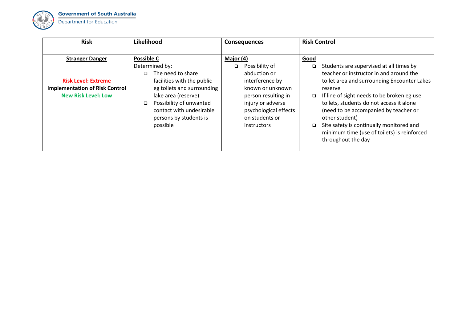

| Major (4)<br><b>Possible C</b><br>Good<br><b>Stranger Danger</b>                                                                                                                                                                                                                                                                                                                                                                                                                                                                                                                                                         |                                                                                                                                                                                                                                                                                                                                                                 |
|--------------------------------------------------------------------------------------------------------------------------------------------------------------------------------------------------------------------------------------------------------------------------------------------------------------------------------------------------------------------------------------------------------------------------------------------------------------------------------------------------------------------------------------------------------------------------------------------------------------------------|-----------------------------------------------------------------------------------------------------------------------------------------------------------------------------------------------------------------------------------------------------------------------------------------------------------------------------------------------------------------|
| Determined by:<br>Possibility of<br>$\Box$<br>□<br>The need to share<br>abduction or<br>$\Box$<br><b>Risk Level: Extreme</b><br>facilities with the public<br>interference by<br>eg toilets and surrounding<br><b>Implementation of Risk Control</b><br>known or unknown<br>reserve<br><b>New Risk Level: Low</b><br>lake area (reserve)<br>person resulting in<br>$\Box$<br>Possibility of unwanted<br>injury or adverse<br>$\Box$<br>contact with undesirable<br>psychological effects<br>persons by students is<br>on students or<br>other student)<br>possible<br><i>instructors</i><br>$\Box$<br>throughout the day | Students are supervised at all times by<br>teacher or instructor in and around the<br>toilet area and surrounding Encounter Lakes<br>If line of sight needs to be broken eg use<br>toilets, students do not access it alone<br>(need to be accompanied by teacher or<br>Site safety is continually monitored and<br>minimum time (use of toilets) is reinforced |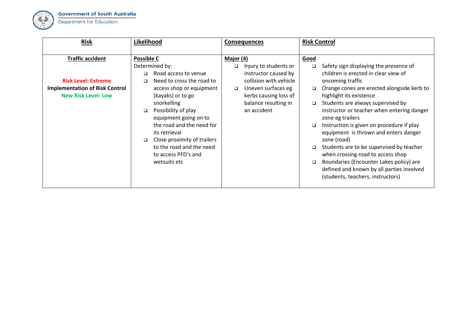

| <b>Risk</b>                           | Likelihood                            | <b>Consequences</b>             | <b>Risk Control</b>                                  |
|---------------------------------------|---------------------------------------|---------------------------------|------------------------------------------------------|
|                                       |                                       |                                 |                                                      |
| <b>Traffic accident</b>               | <b>Possible C</b>                     | Major (4)                       | Good                                                 |
|                                       | Determined by:                        | Injury to students or<br>$\Box$ | Safety sign displaying the presence of<br>$\Box$     |
|                                       | Road access to venue<br>◻             | instructor caused by            | children is erected in clear view of                 |
| <b>Risk Level: Extreme</b>            | Need to cross the road to<br>◻        | collision with vehicle          | oncoming traffic                                     |
| <b>Implementation of Risk Control</b> | access shop or equipment              | Uneven surfaces eg<br>$\Box$    | Orange cones are erected alongside kerb to<br>$\Box$ |
| <b>New Risk Level: Low</b>            | (kayaks) or to go                     | kerbs causing loss of           | highlight its existence                              |
|                                       | snorkelling                           | balance resulting in            | Students are always supervised by<br>$\Box$          |
|                                       | Possibility of play<br>$\Box$         | an accident                     | instructor or teacher when entering danger           |
|                                       | equipment going on to                 |                                 | zone eg trailers                                     |
|                                       | the road and the need for             |                                 | Instruction is given on procedure if play<br>$\Box$  |
|                                       | its retrieval                         |                                 | equipment is thrown and enters danger                |
|                                       | Close proximity of trailers<br>$\Box$ |                                 | zone (road)                                          |
|                                       | to the road and the need              |                                 | Students are to be supervised by teacher<br>$\Box$   |
|                                       | to access PFD's and                   |                                 | when crossing road to access shop                    |
|                                       | wetsuits etc                          |                                 | Boundaries (Encounter Lakes policy) are<br>$\Box$    |
|                                       |                                       |                                 | defined and known by all parties involved            |
|                                       |                                       |                                 | (students, teachers, instructors)                    |
|                                       |                                       |                                 |                                                      |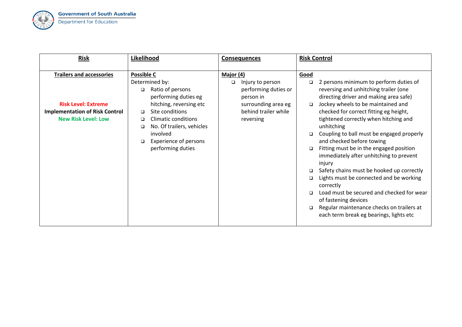

| <b>Risk</b>                                                                                                                          | Likelihood                                                                                                                                                                                                                                                                                      | <b>Consequences</b>                                                                                                                 | <b>Risk Control</b>                                                                                                                                                                                                                                                                                                                                                                                                                                                                                                                                                                                                                                                                                                              |
|--------------------------------------------------------------------------------------------------------------------------------------|-------------------------------------------------------------------------------------------------------------------------------------------------------------------------------------------------------------------------------------------------------------------------------------------------|-------------------------------------------------------------------------------------------------------------------------------------|----------------------------------------------------------------------------------------------------------------------------------------------------------------------------------------------------------------------------------------------------------------------------------------------------------------------------------------------------------------------------------------------------------------------------------------------------------------------------------------------------------------------------------------------------------------------------------------------------------------------------------------------------------------------------------------------------------------------------------|
| <b>Trailers and accessories</b><br><b>Risk Level: Extreme</b><br><b>Implementation of Risk Control</b><br><b>New Risk Level: Low</b> | <b>Possible C</b><br>Determined by:<br>Ratio of persons<br>$\Box$<br>performing duties eg<br>hitching, reversing etc<br>Site conditions<br>$\Box$<br>Climatic conditions<br>□<br>No. Of trailers, vehicles<br>$\Box$<br>involved<br><b>Experience of persons</b><br>$\Box$<br>performing duties | Major (4)<br>Injury to person<br>□<br>performing duties or<br>person in<br>surrounding area eg<br>behind trailer while<br>reversing | Good<br>2 persons minimum to perform duties of<br>reversing and unhitching trailer (one<br>directing driver and making area safe)<br>Jockey wheels to be maintained and<br>$\Box$<br>checked for correct fitting eg height,<br>tightened correctly when hitching and<br>unhitching<br>Coupling to ball must be engaged properly<br>and checked before towing<br>Fitting must be in the engaged position<br>$\Box$<br>immediately after unhitching to prevent<br>injury<br>Safety chains must be hooked up correctly<br>□<br>Lights must be connected and be working<br>$\Box$<br>correctly<br>Load must be secured and checked for wear<br>$\Box$<br>of fastening devices<br>Regular maintenance checks on trailers at<br>$\Box$ |
|                                                                                                                                      |                                                                                                                                                                                                                                                                                                 |                                                                                                                                     | each term break eg bearings, lights etc                                                                                                                                                                                                                                                                                                                                                                                                                                                                                                                                                                                                                                                                                          |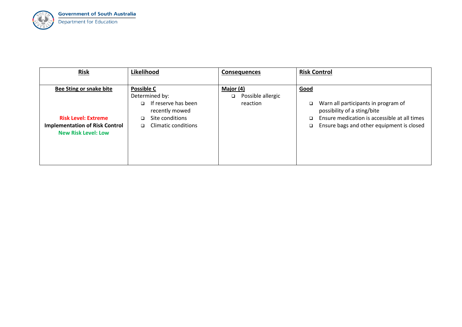

| <b>Risk</b>                                                                                       | Likelihood                                                                                                 | <b>Consequences</b>                 | <b>Risk Control</b>                                                                                                                                                            |
|---------------------------------------------------------------------------------------------------|------------------------------------------------------------------------------------------------------------|-------------------------------------|--------------------------------------------------------------------------------------------------------------------------------------------------------------------------------|
|                                                                                                   |                                                                                                            |                                     |                                                                                                                                                                                |
| Bee Sting or snake bite                                                                           | <b>Possible C</b><br>Determined by:                                                                        | Major (4)<br>Possible allergic<br>□ | Good                                                                                                                                                                           |
| <b>Risk Level: Extreme</b><br><b>Implementation of Risk Control</b><br><b>New Risk Level: Low</b> | $\Box$ If reserve has been<br>recently mowed<br>Site conditions<br>$\Box$<br>Climatic conditions<br>$\Box$ | reaction                            | Warn all participants in program of<br>$\Box$<br>possibility of a sting/bite<br>Ensure medication is accessible at all times<br>Ensure bags and other equipment is closed<br>□ |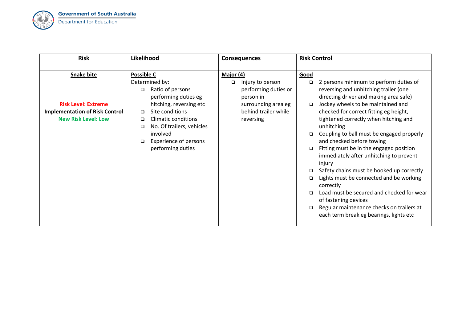

| <b>Risk</b>                                                                                                            | Likelihood                                                                                                                                                                                                                                                                                 | <b>Consequences</b>                                                                                                                 | <b>Risk Control</b>                                                                                                                                                                                                                                                                                                                                                                                                                                                                                                                                                                                                                                                                                                                                                              |
|------------------------------------------------------------------------------------------------------------------------|--------------------------------------------------------------------------------------------------------------------------------------------------------------------------------------------------------------------------------------------------------------------------------------------|-------------------------------------------------------------------------------------------------------------------------------------|----------------------------------------------------------------------------------------------------------------------------------------------------------------------------------------------------------------------------------------------------------------------------------------------------------------------------------------------------------------------------------------------------------------------------------------------------------------------------------------------------------------------------------------------------------------------------------------------------------------------------------------------------------------------------------------------------------------------------------------------------------------------------------|
| <b>Snake bite</b><br><b>Risk Level: Extreme</b><br><b>Implementation of Risk Control</b><br><b>New Risk Level: Low</b> | <b>Possible C</b><br>Determined by:<br>Ratio of persons<br>$\Box$<br>performing duties eg<br>hitching, reversing etc<br>Site conditions<br>$\Box$<br>Climatic conditions<br>No. Of trailers, vehicles<br>$\Box$<br>involved<br><b>Experience of persons</b><br>$\Box$<br>performing duties | Major (4)<br>Injury to person<br>□<br>performing duties or<br>person in<br>surrounding area eg<br>behind trailer while<br>reversing | Good<br>2 persons minimum to perform duties of<br>$\Box$<br>reversing and unhitching trailer (one<br>directing driver and making area safe)<br>Jockey wheels to be maintained and<br>$\Box$<br>checked for correct fitting eg height,<br>tightened correctly when hitching and<br>unhitching<br>Coupling to ball must be engaged properly<br>and checked before towing<br>Fitting must be in the engaged position<br>$\Box$<br>immediately after unhitching to prevent<br>injury<br>Safety chains must be hooked up correctly<br>□<br>Lights must be connected and be working<br>□<br>correctly<br>Load must be secured and checked for wear<br>$\Box$<br>of fastening devices<br>Regular maintenance checks on trailers at<br>$\Box$<br>each term break eg bearings, lights etc |